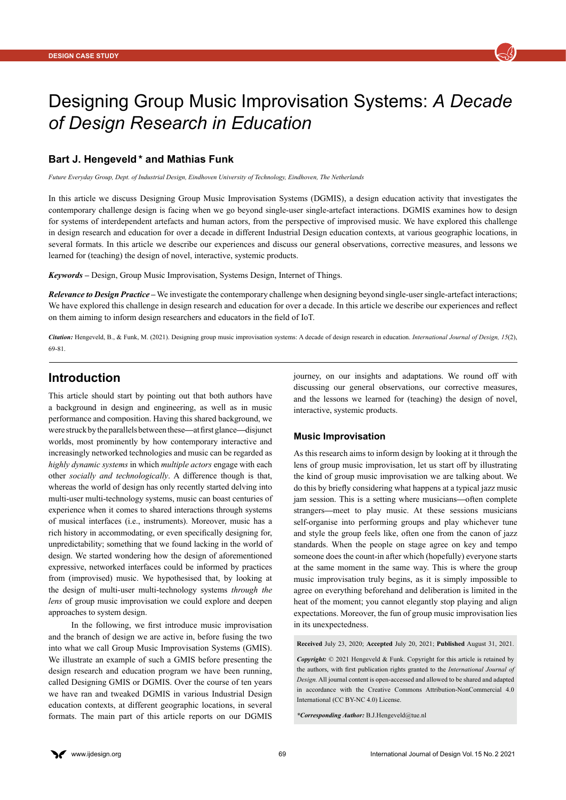

# Designing Group Music Improvisation Systems: *A Decade of Design Research in Education*

### **Bart J. Hengeveld \* and Mathias Funk**

*Future Everyday Group, Dept. of Industrial Design, Eindhoven University of Technology, Eindhoven, The Netherlands*

In this article we discuss Designing Group Music Improvisation Systems (DGMIS), a design education activity that investigates the contemporary challenge design is facing when we go beyond single-user single-artefact interactions. DGMIS examines how to design for systems of interdependent artefacts and human actors, from the perspective of improvised music. We have explored this challenge in design research and education for over a decade in different Industrial Design education contexts, at various geographic locations, in several formats. In this article we describe our experiences and discuss our general observations, corrective measures, and lessons we learned for (teaching) the design of novel, interactive, systemic products.

*Keywords –* Design, Group Music Improvisation, Systems Design, Internet of Things.

*Relevance to Design Practice –* We investigate the contemporary challenge when designing beyond single-user single-artefact interactions; We have explored this challenge in design research and education for over a decade. In this article we describe our experiences and reflect on them aiming to inform design researchers and educators in the field of IoT.

*Citation:* Hengeveld, B., & Funk, M. (2021). Designing group music improvisation systems: A decade of design research in education. *International Journal of Design, 15*(2), 69-81.

## **Introduction**

This article should start by pointing out that both authors have a background in design and engineering, as well as in music performance and composition. Having this shared background, we were struck by the parallels between these*—*at first glance*—*disjunct worlds, most prominently by how contemporary interactive and increasingly networked technologies and music can be regarded as *highly dynamic systems* in which *multiple actors* engage with each other *socially and technologically*. A difference though is that, whereas the world of design has only recently started delving into multi-user multi-technology systems, music can boast centuries of experience when it comes to shared interactions through systems of musical interfaces (i.e., instruments). Moreover, music has a rich history in accommodating, or even specifically designing for, unpredictability; something that we found lacking in the world of design. We started wondering how the design of aforementioned expressive, networked interfaces could be informed by practices from (improvised) music. We hypothesised that, by looking at the design of multi-user multi-technology systems *through the lens* of group music improvisation we could explore and deepen approaches to system design.

In the following, we first introduce music improvisation and the branch of design we are active in, before fusing the two into what we call Group Music Improvisation Systems (GMIS). We illustrate an example of such a GMIS before presenting the design research and education program we have been running, called Designing GMIS or DGMIS. Over the course of ten years we have ran and tweaked DGMIS in various Industrial Design education contexts, at different geographic locations, in several formats. The main part of this article reports on our DGMIS journey, on our insights and adaptations. We round off with discussing our general observations, our corrective measures, and the lessons we learned for (teaching) the design of novel, interactive, systemic products.

#### **Music Improvisation**

As this research aims to inform design by looking at it through the lens of group music improvisation, let us start off by illustrating the kind of group music improvisation we are talking about. We do this by briefly considering what happens at a typical jazz music jam session. This is a setting where musicians*—*often complete strangers*—*meet to play music. At these sessions musicians self-organise into performing groups and play whichever tune and style the group feels like, often one from the canon of jazz standards. When the people on stage agree on key and tempo someone does the count-in after which (hopefully) everyone starts at the same moment in the same way. This is where the group music improvisation truly begins, as it is simply impossible to agree on everything beforehand and deliberation is limited in the heat of the moment; you cannot elegantly stop playing and align expectations. Moreover, the fun of group music improvisation lies in its unexpectedness.

**Received** July 23, 2020; **Accepted** July 20, 2021; **Published** August 31, 2021.

*Copyright:*  $\odot$  2021 Hengeveld & Funk. Copyright for this article is retained by the authors, with first publication rights granted to the *International Journal of Design.* All journal content is open-accessed and allowed to be shared and adapted in accordance with the Creative Commons Attribution-NonCommercial 4.0 International (CC BY-NC 4.0) License.

*\*Corresponding Author:* [B.J.Hengeveld@tue.nl](mailto:B.J.Hengeveld%40tue.nl?subject=)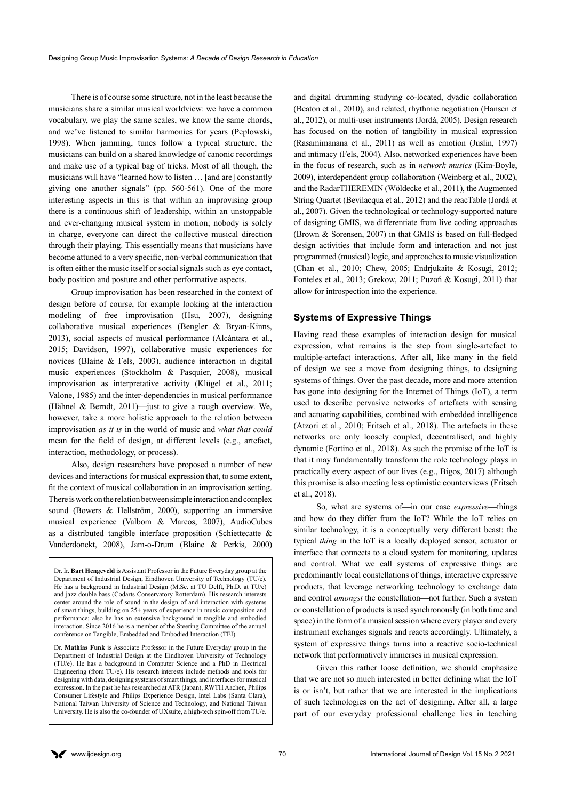There is of course some structure, not in the least because the musicians share a similar musical worldview: we have a common vocabulary, we play the same scales, we know the same chords, and we've listened to similar harmonies for years (Peplowski, 1998). When jamming, tunes follow a typical structure, the musicians can build on a shared knowledge of canonic recordings and make use of a typical bag of tricks. Most of all though, the musicians will have "learned how to listen … [and are] constantly giving one another signals" (pp. 560-561). One of the more interesting aspects in this is that within an improvising group there is a continuous shift of leadership, within an unstoppable and ever-changing musical system in motion; nobody is solely in charge, everyone can direct the collective musical direction through their playing. This essentially means that musicians have become attuned to a very specific, non-verbal communication that is often either the music itself or social signals such as eye contact, body position and posture and other performative aspects.

Group improvisation has been researched in the context of design before of course, for example looking at the interaction modeling of free improvisation (Hsu, 2007), designing collaborative musical experiences (Bengler & Bryan-Kinns, 2013), social aspects of musical performance (Alcántara et al., 2015; Davidson, 1997), collaborative music experiences for novices (Blaine & Fels, 2003), audience interaction in digital music experiences (Stockholm & Pasquier, 2008), musical improvisation as interpretative activity (Klügel et al., 2011; Valone, 1985) and the inter-dependencies in musical performance (Hähnel & Berndt, 2011)*—*just to give a rough overview. We, however, take a more holistic approach to the relation between improvisation *as it is* in the world of music and *what that could*  mean for the field of design, at different levels (e.g., artefact, interaction, methodology, or process).

Also, design researchers have proposed a number of new devices and interactions for musical expression that, to some extent, fit the context of musical collaboration in an improvisation setting. There is work on the relation between simple interaction and complex sound (Bowers & Hellström, 2000), supporting an immersive musical experience (Valbom & Marcos, 2007), AudioCubes as a distributed tangible interface proposition (Schiettecatte & Vanderdonckt, 2008), Jam-o-Drum (Blaine & Perkis, 2000)

Dr. Ir. **Bart Hengeveld** is Assistant Professor in the Future Everyday group at the Department of Industrial Design, Eindhoven University of Technology (TU/e). He has a background in Industrial Design (M.Sc. at TU Delft, Ph.D. at TU/e) and jazz double bass (Codarts Conservatory Rotterdam). His research interests center around the role of sound in the design of and interaction with systems of smart things, building on 25+ years of experience in music composition and performance; also he has an extensive background in tangible and embodied interaction. Since 2016 he is a member of the Steering Committee of the annual conference on Tangible, Embedded and Embodied Interaction (TEI).

Dr. **Mathias Funk** is Associate Professor in the Future Everyday group in the Department of Industrial Design at the Eindhoven University of Technology (TU/e). He has a background in Computer Science and a PhD in Electrical Engineering (from TU/e). His research interests include methods and tools for designing with data, designing systems of smart things, and interfaces for musical expression. In the past he has researched at ATR (Japan), RWTH Aachen, Philips Consumer Lifestyle and Philips Experience Design, Intel Labs (Santa Clara), National Taiwan University of Science and Technology, and National Taiwan University. He is also the co-founder of UXsuite, a high-tech spin-off from TU/e.

and digital drumming studying co-located, dyadic collaboration (Beaton et al., 2010), and related, rhythmic negotiation (Hansen et al., 2012), or multi-user instruments (Jordà, 2005). Design research has focused on the notion of tangibility in musical expression (Rasamimanana et al., 2011) as well as emotion (Juslin, 1997) and intimacy (Fels, 2004). Also, networked experiences have been in the focus of research, such as in *network musics* (Kim-Boyle, 2009), interdependent group collaboration (Weinberg et al., 2002), and the RadarTHEREMIN (Wöldecke et al., 2011), the Augmented String Quartet (Bevilacqua et al., 2012) and the reacTable (Jordà et al., 2007). Given the technological or technology-supported nature of designing GMIS, we differentiate from live coding approaches (Brown & Sorensen, 2007) in that GMIS is based on full-fledged design activities that include form and interaction and not just programmed (musical) logic, and approaches to music visualization (Chan et al., 2010; Chew, 2005; Endrjukaite & Kosugi, 2012; Fonteles et al., 2013; Grekow, 2011; Puzoń & Kosugi, 2011) that allow for introspection into the experience.

#### **Systems of Expressive Things**

Having read these examples of interaction design for musical expression, what remains is the step from single-artefact to multiple-artefact interactions. After all, like many in the field of design we see a move from designing things, to designing systems of things. Over the past decade, more and more attention has gone into designing for the Internet of Things (IoT), a term used to describe pervasive networks of artefacts with sensing and actuating capabilities, combined with embedded intelligence (Atzori et al., 2010; Fritsch et al., 2018). The artefacts in these networks are only loosely coupled, decentralised, and highly dynamic (Fortino et al., 2018). As such the promise of the IoT is that it may fundamentally transform the role technology plays in practically every aspect of our lives (e.g., Bigos, 2017) although this promise is also meeting less optimistic counterviews (Fritsch et al., 2018).

So, what are systems of*—*in our case *expressive—*things and how do they differ from the IoT? While the IoT relies on similar technology, it is a conceptually very different beast: the typical *thing* in the IoT is a locally deployed sensor, actuator or interface that connects to a cloud system for monitoring, updates and control. What we call systems of expressive things are predominantly local constellations of things, interactive expressive products, that leverage networking technology to exchange data and control *amongst* the constellation*—*not further. Such a system or constellation of products is used synchronously (in both time and space) in the form of a musical session where every player and every instrument exchanges signals and reacts accordingly. Ultimately, a system of expressive things turns into a reactive socio-technical network that performatively immerses in musical expression.

Given this rather loose definition, we should emphasize that we are not so much interested in better defining what the IoT is or isn't, but rather that we are interested in the implications of such technologies on the act of designing. After all, a large part of our everyday professional challenge lies in teaching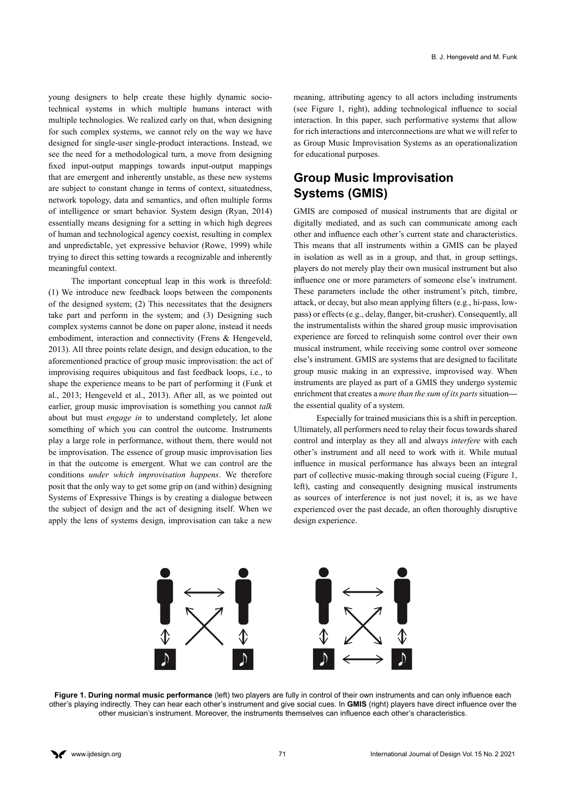young designers to help create these highly dynamic sociotechnical systems in which multiple humans interact with multiple technologies. We realized early on that, when designing for such complex systems, we cannot rely on the way we have designed for single-user single-product interactions. Instead, we see the need for a methodological turn, a move from designing fixed input-output mappings towards input-output mappings that are emergent and inherently unstable, as these new systems are subject to constant change in terms of context, situatedness, network topology, data and semantics, and often multiple forms of intelligence or smart behavior. System design (Ryan, 2014) essentially means designing for a setting in which high degrees of human and technological agency coexist, resulting in complex and unpredictable, yet expressive behavior (Rowe, 1999) while trying to direct this setting towards a recognizable and inherently meaningful context.

The important conceptual leap in this work is threefold: (1) We introduce new feedback loops between the components of the designed system; (2) This necessitates that the designers take part and perform in the system; and (3) Designing such complex systems cannot be done on paper alone, instead it needs embodiment, interaction and connectivity (Frens & Hengeveld, 2013). All three points relate design, and design education, to the aforementioned practice of group music improvisation: the act of improvising requires ubiquitous and fast feedback loops, i.e., to shape the experience means to be part of performing it (Funk et al., 2013; Hengeveld et al., 2013). After all, as we pointed out earlier, group music improvisation is something you cannot *talk*  about but must *engage in* to understand completely, let alone something of which you can control the outcome. Instruments play a large role in performance, without them, there would not be improvisation. The essence of group music improvisation lies in that the outcome is emergent. What we can control are the conditions *under which improvisation happens*. We therefore posit that the only way to get some grip on (and within) designing Systems of Expressive Things is by creating a dialogue between the subject of design and the act of designing itself. When we apply the lens of systems design, improvisation can take a new

meaning, attributing agency to all actors including instruments (see Figure 1, right), adding technological influence to social interaction. In this paper, such performative systems that allow for rich interactions and interconnections are what we will refer to as Group Music Improvisation Systems as an operationalization for educational purposes.

# **Group Music Improvisation Systems (GMIS)**

GMIS are composed of musical instruments that are digital or digitally mediated, and as such can communicate among each other and influence each other's current state and characteristics. This means that all instruments within a GMIS can be played in isolation as well as in a group, and that, in group settings, players do not merely play their own musical instrument but also influence one or more parameters of someone else's instrument. These parameters include the other instrument's pitch, timbre, attack, or decay, but also mean applying filters (e.g., hi-pass, lowpass) or effects (e.g., delay, flanger, bit-crusher). Consequently, all the instrumentalists within the shared group music improvisation experience are forced to relinquish some control over their own musical instrument, while receiving some control over someone else's instrument. GMIS are systems that are designed to facilitate group music making in an expressive, improvised way. When instruments are played as part of a GMIS they undergo systemic enrichment that creates a *more than the sum of its parts* situation the essential quality of a system.

Especially for trained musicians this is a shift in perception. Ultimately, all performers need to relay their focus towards shared control and interplay as they all and always *interfere* with each other's instrument and all need to work with it. While mutual influence in musical performance has always been an integral part of collective music-making through social cueing (Figure 1, left), casting and consequently designing musical instruments as sources of interference is not just novel; it is, as we have experienced over the past decade, an often thoroughly disruptive design experience.



**Figure 1. During normal music performance** (left) two players are fully in control of their own instruments and can only influence each other's playing indirectly. They can hear each other's instrument and give social cues. In **GMIS** (right) players have direct influence over the other musician's instrument. Moreover, the instruments themselves can influence each other's characteristics.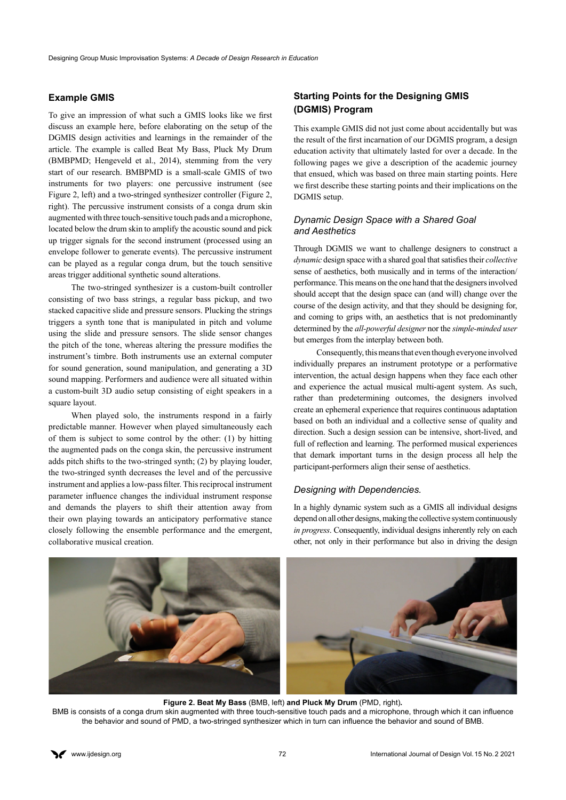#### **Example GMIS**

To give an impression of what such a GMIS looks like we first discuss an example here, before elaborating on the setup of the DGMIS design activities and learnings in the remainder of the article. The example is called Beat My Bass, Pluck My Drum (BMBPMD; Hengeveld et al., 2014), stemming from the very start of our research. BMBPMD is a small-scale GMIS of two instruments for two players: one percussive instrument (see Figure 2, left) and a two-stringed synthesizer controller (Figure 2, right). The percussive instrument consists of a conga drum skin augmented with three touch-sensitive touch pads and a microphone, located below the drum skin to amplify the acoustic sound and pick up trigger signals for the second instrument (processed using an envelope follower to generate events). The percussive instrument can be played as a regular conga drum, but the touch sensitive areas trigger additional synthetic sound alterations.

The two-stringed synthesizer is a custom-built controller consisting of two bass strings, a regular bass pickup, and two stacked capacitive slide and pressure sensors. Plucking the strings triggers a synth tone that is manipulated in pitch and volume using the slide and pressure sensors. The slide sensor changes the pitch of the tone, whereas altering the pressure modifies the instrument's timbre. Both instruments use an external computer for sound generation, sound manipulation, and generating a 3D sound mapping. Performers and audience were all situated within a custom-built 3D audio setup consisting of eight speakers in a square layout.

When played solo, the instruments respond in a fairly predictable manner. However when played simultaneously each of them is subject to some control by the other: (1) by hitting the augmented pads on the conga skin, the percussive instrument adds pitch shifts to the two-stringed synth; (2) by playing louder, the two-stringed synth decreases the level and of the percussive instrument and applies a low-pass filter. This reciprocal instrument parameter influence changes the individual instrument response and demands the players to shift their attention away from their own playing towards an anticipatory performative stance closely following the ensemble performance and the emergent, collaborative musical creation.

### **Starting Points for the Designing GMIS (DGMIS) Program**

This example GMIS did not just come about accidentally but was the result of the first incarnation of our DGMIS program, a design education activity that ultimately lasted for over a decade. In the following pages we give a description of the academic journey that ensued, which was based on three main starting points. Here we first describe these starting points and their implications on the DGMIS setup.

#### *Dynamic Design Space with a Shared Goal and Aesthetics*

Through DGMIS we want to challenge designers to construct a *dynamic* design space with a shared goal that satisfies their *collective* sense of aesthetics, both musically and in terms of the interaction/ performance. This means on the one hand that the designers involved should accept that the design space can (and will) change over the course of the design activity, and that they should be designing for, and coming to grips with, an aesthetics that is not predominantly determined by the *all-powerful designer* nor the *simple-minded user*  but emerges from the interplay between both.

Consequently, this means that even though everyone involved individually prepares an instrument prototype or a performative intervention, the actual design happens when they face each other and experience the actual musical multi-agent system. As such, rather than predetermining outcomes, the designers involved create an ephemeral experience that requires continuous adaptation based on both an individual and a collective sense of quality and direction. Such a design session can be intensive, short-lived, and full of reflection and learning. The performed musical experiences that demark important turns in the design process all help the participant-performers align their sense of aesthetics.

#### *Designing with Dependencies.*

In a highly dynamic system such as a GMIS all individual designs depend on all other designs, making the collective system continuously *in progress*. Consequently, individual designs inherently rely on each other, not only in their performance but also in driving the design



**Figure 2. Beat My Bass** (BMB, left) **and Pluck My Drum** (PMD, right)**.** BMB is consists of a conga drum skin augmented with three touch-sensitive touch pads and a microphone, through which it can influence the behavior and sound of PMD, a two-stringed synthesizer which in turn can influence the behavior and sound of BMB.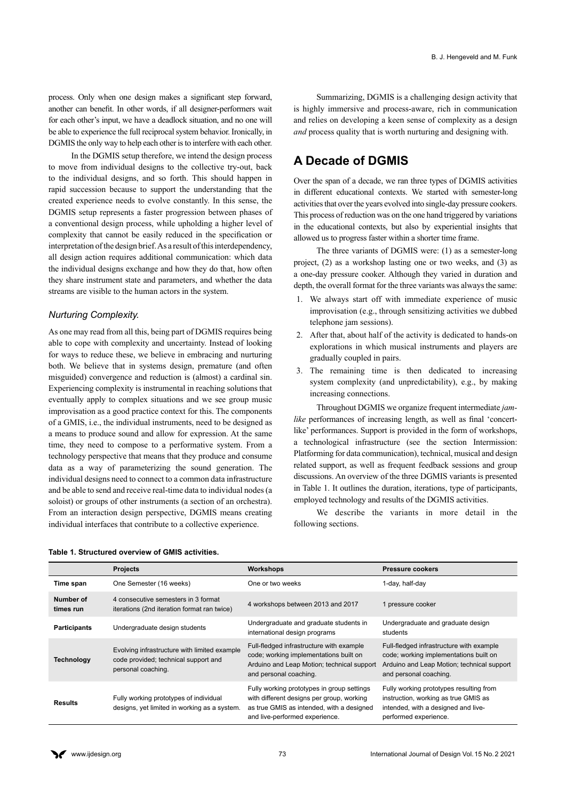process. Only when one design makes a significant step forward, another can benefit. In other words, if all designer-performers wait for each other's input, we have a deadlock situation, and no one will be able to experience the full reciprocal system behavior. Ironically, in DGMIS the only way to help each other is to interfere with each other.

In the DGMIS setup therefore, we intend the design process to move from individual designs to the collective try-out, back to the individual designs, and so forth. This should happen in rapid succession because to support the understanding that the created experience needs to evolve constantly. In this sense, the DGMIS setup represents a faster progression between phases of a conventional design process, while upholding a higher level of complexity that cannot be easily reduced in the specification or interpretation of the design brief. As a result of this interdependency, all design action requires additional communication: which data the individual designs exchange and how they do that, how often they share instrument state and parameters, and whether the data streams are visible to the human actors in the system.

#### *Nurturing Complexity.*

As one may read from all this, being part of DGMIS requires being able to cope with complexity and uncertainty. Instead of looking for ways to reduce these, we believe in embracing and nurturing both. We believe that in systems design, premature (and often misguided) convergence and reduction is (almost) a cardinal sin. Experiencing complexity is instrumental in reaching solutions that eventually apply to complex situations and we see group music improvisation as a good practice context for this. The components of a GMIS, i.e., the individual instruments, need to be designed as a means to produce sound and allow for expression. At the same time, they need to compose to a performative system. From a technology perspective that means that they produce and consume data as a way of parameterizing the sound generation. The individual designs need to connect to a common data infrastructure and be able to send and receive real-time data to individual nodes (a soloist) or groups of other instruments (a section of an orchestra). From an interaction design perspective, DGMIS means creating individual interfaces that contribute to a collective experience.

Summarizing, DGMIS is a challenging design activity that is highly immersive and process-aware, rich in communication and relies on developing a keen sense of complexity as a design *and* process quality that is worth nurturing and designing with.

# **A Decade of DGMIS**

Over the span of a decade, we ran three types of DGMIS activities in different educational contexts. We started with semester-long activities that over the years evolved into single-day pressure cookers. This process of reduction was on the one hand triggered by variations in the educational contexts, but also by experiential insights that allowed us to progress faster within a shorter time frame.

The three variants of DGMIS were: (1) as a semester-long project, (2) as a workshop lasting one or two weeks, and (3) as a one-day pressure cooker. Although they varied in duration and depth, the overall format for the three variants was always the same:

- 1. We always start off with immediate experience of music improvisation (e.g., through sensitizing activities we dubbed telephone jam sessions).
- 2. After that, about half of the activity is dedicated to hands-on explorations in which musical instruments and players are gradually coupled in pairs.
- 3. The remaining time is then dedicated to increasing system complexity (and unpredictability), e.g., by making increasing connections.

Throughout DGMIS we organize frequent intermediate *jamlike* performances of increasing length, as well as final 'concertlike' performances. Support is provided in the form of workshops, a technological infrastructure (see the section Intermission: Platforming for data communication), technical, musical and design related support, as well as frequent feedback sessions and group discussions. An overview of the three DGMIS variants is presented in Table 1. It outlines the duration, iterations, type of participants, employed technology and results of the DGMIS activities.

We describe the variants in more detail in the following sections.

|                        | <b>Projects</b>                                                                                            | Workshops                                                                                                                                                              | <b>Pressure cookers</b>                                                                                                                                    |
|------------------------|------------------------------------------------------------------------------------------------------------|------------------------------------------------------------------------------------------------------------------------------------------------------------------------|------------------------------------------------------------------------------------------------------------------------------------------------------------|
| Time span              | One Semester (16 weeks)                                                                                    | One or two weeks                                                                                                                                                       | 1-day, half-day                                                                                                                                            |
| Number of<br>times run | 4 consecutive semesters in 3 format<br>iterations (2nd iteration format ran twice)                         | 4 workshops between 2013 and 2017                                                                                                                                      | 1 pressure cooker                                                                                                                                          |
| <b>Participants</b>    | Undergraduate design students                                                                              | Undergraduate and graduate students in<br>international design programs                                                                                                | Undergraduate and graduate design<br>students                                                                                                              |
| <b>Technology</b>      | Evolving infrastructure with limited example<br>code provided; technical support and<br>personal coaching. | Full-fledged infrastructure with example<br>code; working implementations built on<br>Arduino and Leap Motion; technical support<br>and personal coaching.             | Full-fledged infrastructure with example<br>code; working implementations built on<br>Arduino and Leap Motion; technical support<br>and personal coaching. |
| Results                | Fully working prototypes of individual<br>designs, yet limited in working as a system.                     | Fully working prototypes in group settings<br>with different designs per group, working<br>as true GMIS as intended, with a designed<br>and live-performed experience. | Fully working prototypes resulting from<br>instruction, working as true GMIS as<br>intended, with a designed and live-<br>performed experience.            |

#### **Table 1. Structured overview of GMIS activities.**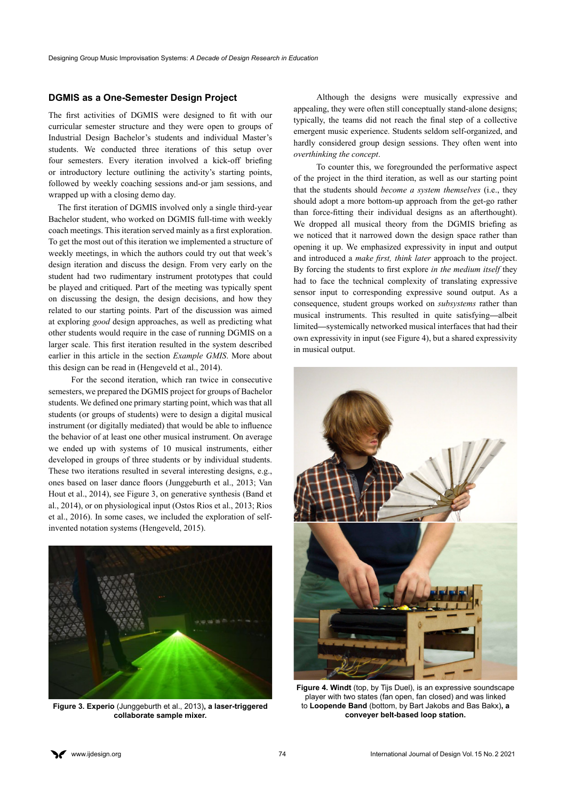#### **DGMIS as a One-Semester Design Project**

The first activities of DGMIS were designed to fit with our curricular semester structure and they were open to groups of Industrial Design Bachelor's students and individual Master's students. We conducted three iterations of this setup over four semesters. Every iteration involved a kick-off briefing or introductory lecture outlining the activity's starting points, followed by weekly coaching sessions and-or jam sessions, and wrapped up with a closing demo day.

 The first iteration of DGMIS involved only a single third-year Bachelor student, who worked on DGMIS full-time with weekly coach meetings. This iteration served mainly as a first exploration. To get the most out of this iteration we implemented a structure of weekly meetings, in which the authors could try out that week's design iteration and discuss the design. From very early on the student had two rudimentary instrument prototypes that could be played and critiqued. Part of the meeting was typically spent on discussing the design, the design decisions, and how they related to our starting points. Part of the discussion was aimed at exploring *good* design approaches, as well as predicting what other students would require in the case of running DGMIS on a larger scale. This first iteration resulted in the system described earlier in this article in the section *Example GMIS*. More about this design can be read in (Hengeveld et al., 2014).

For the second iteration, which ran twice in consecutive semesters, we prepared the DGMIS project for groups of Bachelor students. We defined one primary starting point, which was that all students (or groups of students) were to design a digital musical instrument (or digitally mediated) that would be able to influence the behavior of at least one other musical instrument. On average we ended up with systems of 10 musical instruments, either developed in groups of three students or by individual students. These two iterations resulted in several interesting designs, e.g., ones based on laser dance floors (Junggeburth et al., 2013; Van Hout et al., 2014), see Figure 3, on generative synthesis (Band et al., 2014), or on physiological input (Ostos Rios et al., 2013; Rios et al., 2016). In some cases, we included the exploration of selfinvented notation systems (Hengeveld, 2015).



**Figure 3. Experio** (Junggeburth et al., 2013)**, a laser-triggered collaborate sample mixer.**

Although the designs were musically expressive and appealing, they were often still conceptually stand-alone designs; typically, the teams did not reach the final step of a collective emergent music experience. Students seldom self-organized, and hardly considered group design sessions. They often went into *overthinking the concept*.

To counter this, we foregrounded the performative aspect of the project in the third iteration, as well as our starting point that the students should *become a system themselves* (i.e., they should adopt a more bottom-up approach from the get-go rather than force-fitting their individual designs as an afterthought). We dropped all musical theory from the DGMIS briefing as we noticed that it narrowed down the design space rather than opening it up. We emphasized expressivity in input and output and introduced a *make first, think later* approach to the project. By forcing the students to first explore *in the medium itself* they had to face the technical complexity of translating expressive sensor input to corresponding expressive sound output. As a consequence, student groups worked on *subsystems* rather than musical instruments. This resulted in quite satisfying*—*albeit limited*—*systemically networked musical interfaces that had their own expressivity in input (see Figure 4), but a shared expressivity in musical output.



**Figure 4. Windt** (top, by Tijs Duel), is an expressive soundscape player with two states (fan open, fan closed) and was linked to **Loopende Band** (bottom, by Bart Jakobs and Bas Bakx)**, a conveyer belt-based loop station.**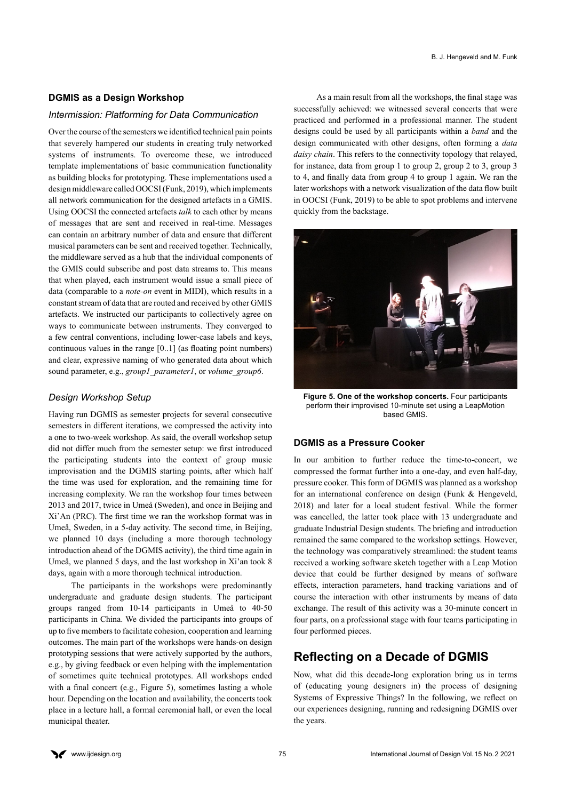#### **DGMIS as a Design Workshop**

#### *Intermission: Platforming for Data Communication*

Over the course of the semesters we identified technical pain points that severely hampered our students in creating truly networked systems of instruments. To overcome these, we introduced template implementations of basic communication functionality as building blocks for prototyping. These implementations used a design middleware called OOCSI (Funk, 2019), which implements all network communication for the designed artefacts in a GMIS. Using OOCSI the connected artefacts *talk* to each other by means of messages that are sent and received in real-time. Messages can contain an arbitrary number of data and ensure that different musical parameters can be sent and received together. Technically, the middleware served as a hub that the individual components of the GMIS could subscribe and post data streams to. This means that when played, each instrument would issue a small piece of data (comparable to a *note-on* event in MIDI), which results in a constant stream of data that are routed and received by other GMIS artefacts. We instructed our participants to collectively agree on ways to communicate between instruments. They converged to a few central conventions, including lower-case labels and keys, continuous values in the range [0..1] (as floating point numbers) and clear, expressive naming of who generated data about which sound parameter, e.g., *group1\_parameter1*, or *volume\_group6*.

#### *Design Workshop Setup*

Having run DGMIS as semester projects for several consecutive semesters in different iterations, we compressed the activity into a one to two-week workshop. As said, the overall workshop setup did not differ much from the semester setup: we first introduced the participating students into the context of group music improvisation and the DGMIS starting points, after which half the time was used for exploration, and the remaining time for increasing complexity. We ran the workshop four times between 2013 and 2017, twice in Umeå (Sweden), and once in Beijing and Xi'An (PRC). The first time we ran the workshop format was in Umeå, Sweden, in a 5-day activity. The second time, in Beijing, we planned 10 days (including a more thorough technology introduction ahead of the DGMIS activity), the third time again in Umeå, we planned 5 days, and the last workshop in Xi'an took 8 days, again with a more thorough technical introduction.

The participants in the workshops were predominantly undergraduate and graduate design students. The participant groups ranged from 10-14 participants in Umeå to 40-50 participants in China. We divided the participants into groups of up to five members to facilitate cohesion, cooperation and learning outcomes. The main part of the workshops were hands-on design prototyping sessions that were actively supported by the authors, e.g., by giving feedback or even helping with the implementation of sometimes quite technical prototypes. All workshops ended with a final concert (e.g., Figure 5), sometimes lasting a whole hour. Depending on the location and availability, the concerts took place in a lecture hall, a formal ceremonial hall, or even the local municipal theater.

As a main result from all the workshops, the final stage was successfully achieved: we witnessed several concerts that were practiced and performed in a professional manner. The student designs could be used by all participants within a *band* and the design communicated with other designs, often forming a *data daisy chain*. This refers to the connectivity topology that relayed, for instance, data from group 1 to group 2, group 2 to 3, group 3 to 4, and finally data from group 4 to group 1 again. We ran the later workshops with a network visualization of the data flow built in OOCSI (Funk, 2019) to be able to spot problems and intervene quickly from the backstage.



**Figure 5. One of the workshop concerts.** Four participants perform their improvised 10-minute set using a LeapMotion based GMIS.

#### **DGMIS as a Pressure Cooker**

In our ambition to further reduce the time-to-concert, we compressed the format further into a one-day, and even half-day, pressure cooker. This form of DGMIS was planned as a workshop for an international conference on design (Funk & Hengeveld, 2018) and later for a local student festival. While the former was cancelled, the latter took place with 13 undergraduate and graduate Industrial Design students. The briefing and introduction remained the same compared to the workshop settings. However, the technology was comparatively streamlined: the student teams received a working software sketch together with a Leap Motion device that could be further designed by means of software effects, interaction parameters, hand tracking variations and of course the interaction with other instruments by means of data exchange. The result of this activity was a 30-minute concert in four parts, on a professional stage with four teams participating in four performed pieces.

### **Reflecting on a Decade of DGMIS**

Now, what did this decade-long exploration bring us in terms of (educating young designers in) the process of designing Systems of Expressive Things? In the following, we reflect on our experiences designing, running and redesigning DGMIS over the years.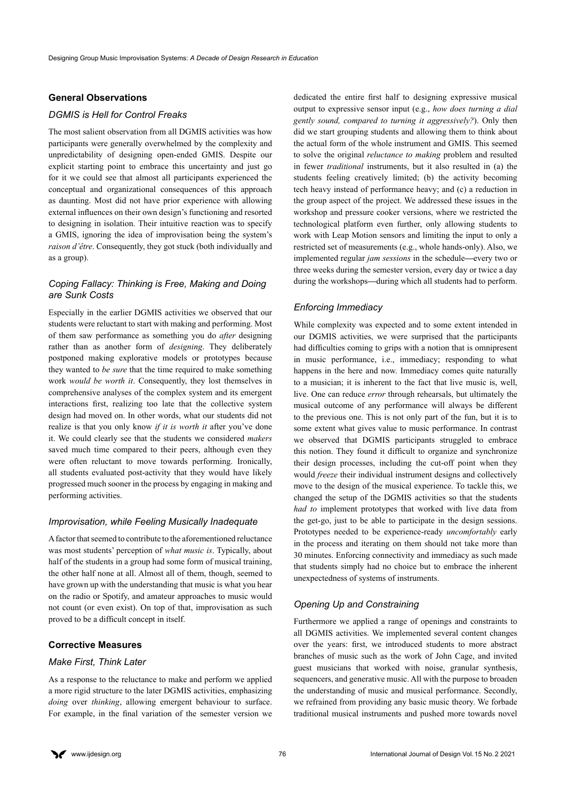#### **General Observations**

#### *DGMIS is Hell for Control Freaks*

The most salient observation from all DGMIS activities was how participants were generally overwhelmed by the complexity and unpredictability of designing open-ended GMIS. Despite our explicit starting point to embrace this uncertainty and just go for it we could see that almost all participants experienced the conceptual and organizational consequences of this approach as daunting. Most did not have prior experience with allowing external influences on their own design's functioning and resorted to designing in isolation. Their intuitive reaction was to specify a GMIS, ignoring the idea of improvisation being the system's *raison d'être*. Consequently, they got stuck (both individually and as a group).

#### *Coping Fallacy: Thinking is Free, Making and Doing are Sunk Costs*

Especially in the earlier DGMIS activities we observed that our students were reluctant to start with making and performing. Most of them saw performance as something you do *after* designing rather than as another form of *designing*. They deliberately postponed making explorative models or prototypes because they wanted to *be sure* that the time required to make something work *would be worth it*. Consequently, they lost themselves in comprehensive analyses of the complex system and its emergent interactions first, realizing too late that the collective system design had moved on. In other words, what our students did not realize is that you only know *if it is worth it* after you've done it. We could clearly see that the students we considered *makers*  saved much time compared to their peers, although even they were often reluctant to move towards performing. Ironically, all students evaluated post-activity that they would have likely progressed much sooner in the process by engaging in making and performing activities.

#### *Improvisation, while Feeling Musically Inadequate*

A factor that seemed to contribute to the aforementioned reluctance was most students' perception of *what music is*. Typically, about half of the students in a group had some form of musical training, the other half none at all. Almost all of them, though, seemed to have grown up with the understanding that music is what you hear on the radio or Spotify, and amateur approaches to music would not count (or even exist). On top of that, improvisation as such proved to be a difficult concept in itself.

#### **Corrective Measures**

#### *Make First, Think Later*

As a response to the reluctance to make and perform we applied a more rigid structure to the later DGMIS activities, emphasizing *doing* over *thinking*, allowing emergent behaviour to surface. For example, in the final variation of the semester version we dedicated the entire first half to designing expressive musical output to expressive sensor input (e.g., *how does turning a dial gently sound, compared to turning it aggressively?*). Only then did we start grouping students and allowing them to think about the actual form of the whole instrument and GMIS. This seemed to solve the original *reluctance to making* problem and resulted in fewer *traditional* instruments, but it also resulted in (a) the students feeling creatively limited; (b) the activity becoming tech heavy instead of performance heavy; and (c) a reduction in the group aspect of the project. We addressed these issues in the workshop and pressure cooker versions, where we restricted the technological platform even further, only allowing students to work with Leap Motion sensors and limiting the input to only a restricted set of measurements (e.g., whole hands-only). Also, we implemented regular *jam sessions* in the schedule*—*every two or three weeks during the semester version, every day or twice a day during the workshops*—*during which all students had to perform.

#### *Enforcing Immediacy*

While complexity was expected and to some extent intended in our DGMIS activities, we were surprised that the participants had difficulties coming to grips with a notion that is omnipresent in music performance, i.e., immediacy; responding to what happens in the here and now. Immediacy comes quite naturally to a musician; it is inherent to the fact that live music is, well, live. One can reduce *error* through rehearsals, but ultimately the musical outcome of any performance will always be different to the previous one. This is not only part of the fun, but it is to some extent what gives value to music performance. In contrast we observed that DGMIS participants struggled to embrace this notion. They found it difficult to organize and synchronize their design processes, including the cut-off point when they would *freeze* their individual instrument designs and collectively move to the design of the musical experience. To tackle this, we changed the setup of the DGMIS activities so that the students *had to* implement prototypes that worked with live data from the get-go, just to be able to participate in the design sessions. Prototypes needed to be experience-ready *uncomfortably* early in the process and iterating on them should not take more than 30 minutes. Enforcing connectivity and immediacy as such made that students simply had no choice but to embrace the inherent unexpectedness of systems of instruments.

#### *Opening Up and Constraining*

Furthermore we applied a range of openings and constraints to all DGMIS activities. We implemented several content changes over the years: first, we introduced students to more abstract branches of music such as the work of John Cage, and invited guest musicians that worked with noise, granular synthesis, sequencers, and generative music. All with the purpose to broaden the understanding of music and musical performance. Secondly, we refrained from providing any basic music theory. We forbade traditional musical instruments and pushed more towards novel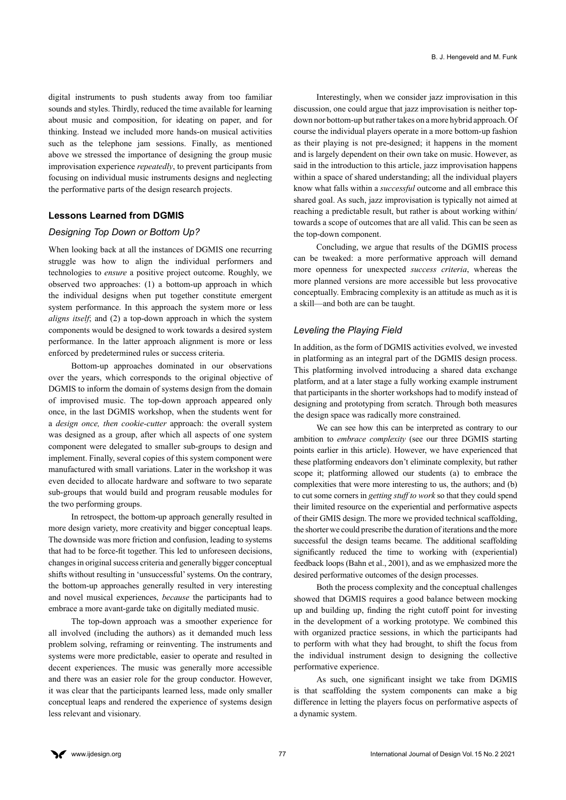digital instruments to push students away from too familiar sounds and styles. Thirdly, reduced the time available for learning about music and composition, for ideating on paper, and for thinking. Instead we included more hands-on musical activities such as the telephone jam sessions. Finally, as mentioned above we stressed the importance of designing the group music improvisation experience *repeatedly*, to prevent participants from focusing on individual music instruments designs and neglecting the performative parts of the design research projects.

#### **Lessons Learned from DGMIS**

#### *Designing Top Down or Bottom Up?*

When looking back at all the instances of DGMIS one recurring struggle was how to align the individual performers and technologies to *ensure* a positive project outcome. Roughly, we observed two approaches: (1) a bottom-up approach in which the individual designs when put together constitute emergent system performance. In this approach the system more or less *aligns itself*; and (2) a top-down approach in which the system components would be designed to work towards a desired system performance. In the latter approach alignment is more or less enforced by predetermined rules or success criteria.

Bottom-up approaches dominated in our observations over the years, which corresponds to the original objective of DGMIS to inform the domain of systems design from the domain of improvised music. The top-down approach appeared only once, in the last DGMIS workshop, when the students went for a *design once, then cookie-cutter* approach: the overall system was designed as a group, after which all aspects of one system component were delegated to smaller sub-groups to design and implement. Finally, several copies of this system component were manufactured with small variations. Later in the workshop it was even decided to allocate hardware and software to two separate sub-groups that would build and program reusable modules for the two performing groups.

In retrospect, the bottom-up approach generally resulted in more design variety, more creativity and bigger conceptual leaps. The downside was more friction and confusion, leading to systems that had to be force-fit together. This led to unforeseen decisions, changes in original success criteria and generally bigger conceptual shifts without resulting in 'unsuccessful' systems. On the contrary, the bottom-up approaches generally resulted in very interesting and novel musical experiences, *because* the participants had to embrace a more avant-garde take on digitally mediated music.

The top-down approach was a smoother experience for all involved (including the authors) as it demanded much less problem solving, reframing or reinventing. The instruments and systems were more predictable, easier to operate and resulted in decent experiences. The music was generally more accessible and there was an easier role for the group conductor. However, it was clear that the participants learned less, made only smaller conceptual leaps and rendered the experience of systems design less relevant and visionary.

Interestingly, when we consider jazz improvisation in this discussion, one could argue that jazz improvisation is neither topdown nor bottom-up but rather takes on a more hybrid approach. Of course the individual players operate in a more bottom-up fashion as their playing is not pre-designed; it happens in the moment and is largely dependent on their own take on music. However, as said in the introduction to this article, jazz improvisation happens within a space of shared understanding; all the individual players know what falls within a *successful* outcome and all embrace this shared goal. As such, jazz improvisation is typically not aimed at reaching a predictable result, but rather is about working within/ towards a scope of outcomes that are all valid. This can be seen as the top-down component.

Concluding, we argue that results of the DGMIS process can be tweaked: a more performative approach will demand more openness for unexpected *success criteria*, whereas the more planned versions are more accessible but less provocative conceptually. Embracing complexity is an attitude as much as it is a skill—and both are can be taught.

#### *Leveling the Playing Field*

In addition, as the form of DGMIS activities evolved, we invested in platforming as an integral part of the DGMIS design process. This platforming involved introducing a shared data exchange platform, and at a later stage a fully working example instrument that participants in the shorter workshops had to modify instead of designing and prototyping from scratch. Through both measures the design space was radically more constrained.

We can see how this can be interpreted as contrary to our ambition to *embrace complexity* (see our three DGMIS starting points earlier in this article). However, we have experienced that these platforming endeavors don't eliminate complexity, but rather scope it; platforming allowed our students (a) to embrace the complexities that were more interesting to us, the authors; and (b) to cut some corners in *getting stuff to work* so that they could spend their limited resource on the experiential and performative aspects of their GMIS design. The more we provided technical scaffolding, the shorter we could prescribe the duration of iterations and the more successful the design teams became. The additional scaffolding significantly reduced the time to working with (experiential) feedback loops (Bahn et al., 2001), and as we emphasized more the desired performative outcomes of the design processes.

Both the process complexity and the conceptual challenges showed that DGMIS requires a good balance between mocking up and building up, finding the right cutoff point for investing in the development of a working prototype. We combined this with organized practice sessions, in which the participants had to perform with what they had brought, to shift the focus from the individual instrument design to designing the collective performative experience.

As such, one significant insight we take from DGMIS is that scaffolding the system components can make a big difference in letting the players focus on performative aspects of a dynamic system.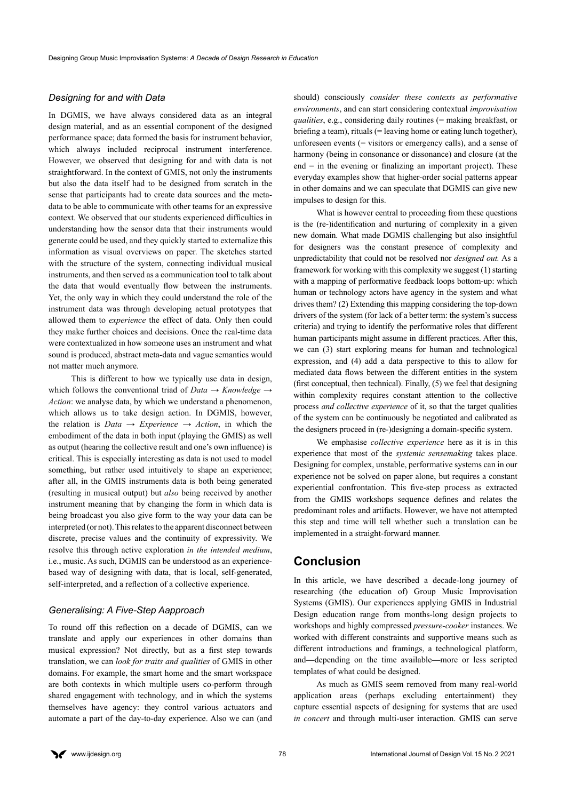#### *Designing for and with Data*

In DGMIS, we have always considered data as an integral design material, and as an essential component of the designed performance space; data formed the basis for instrument behavior, which always included reciprocal instrument interference. However, we observed that designing for and with data is not straightforward. In the context of GMIS, not only the instruments but also the data itself had to be designed from scratch in the sense that participants had to create data sources and the metadata to be able to communicate with other teams for an expressive context. We observed that our students experienced difficulties in understanding how the sensor data that their instruments would generate could be used, and they quickly started to externalize this information as visual overviews on paper. The sketches started with the structure of the system, connecting individual musical instruments, and then served as a communication tool to talk about the data that would eventually flow between the instruments. Yet, the only way in which they could understand the role of the instrument data was through developing actual prototypes that allowed them to *experience* the effect of data. Only then could they make further choices and decisions. Once the real-time data were contextualized in how someone uses an instrument and what sound is produced, abstract meta-data and vague semantics would not matter much anymore.

This is different to how we typically use data in design, which follows the conventional triad of *Data → Knowledge → Action*: we analyse data, by which we understand a phenomenon, which allows us to take design action. In DGMIS, however, the relation is *Data → Experience → Action*, in which the embodiment of the data in both input (playing the GMIS) as well as output (hearing the collective result and one's own influence) is critical. This is especially interesting as data is not used to model something, but rather used intuitively to shape an experience; after all, in the GMIS instruments data is both being generated (resulting in musical output) but *also* being received by another instrument meaning that by changing the form in which data is being broadcast you also give form to the way your data can be interpreted (or not). This relates to the apparent disconnect between discrete, precise values and the continuity of expressivity. We resolve this through active exploration *in the intended medium*, i.e., music. As such, DGMIS can be understood as an experiencebased way of designing with data, that is local, self-generated, self-interpreted, and a reflection of a collective experience.

#### *Generalising: A Five-Step Aapproach*

To round off this reflection on a decade of DGMIS, can we translate and apply our experiences in other domains than musical expression? Not directly, but as a first step towards translation, we can *look for traits and qualities* of GMIS in other domains. For example, the smart home and the smart workspace are both contexts in which multiple users co-perform through shared engagement with technology, and in which the systems themselves have agency: they control various actuators and automate a part of the day-to-day experience. Also we can (and

should) consciously *consider these contexts as performative environments*, and can start considering contextual *improvisation qualities*, e.g., considering daily routines (= making breakfast, or briefing a team), rituals (= leaving home or eating lunch together), unforeseen events (= visitors or emergency calls), and a sense of harmony (being in consonance or dissonance) and closure (at the  $end =$  in the evening or finalizing an important project). These everyday examples show that higher-order social patterns appear in other domains and we can speculate that DGMIS can give new impulses to design for this.

What is however central to proceeding from these questions is the (re-)identification and nurturing of complexity in a given new domain. What made DGMIS challenging but also insightful for designers was the constant presence of complexity and unpredictability that could not be resolved nor *designed out.* As a framework for working with this complexity we suggest (1) starting with a mapping of performative feedback loops bottom-up: which human or technology actors have agency in the system and what drives them? (2) Extending this mapping considering the top-down drivers of the system (for lack of a better term: the system's success criteria) and trying to identify the performative roles that different human participants might assume in different practices. After this, we can (3) start exploring means for human and technological expression, and (4) add a data perspective to this to allow for mediated data flows between the different entities in the system (first conceptual, then technical). Finally, (5) we feel that designing within complexity requires constant attention to the collective process *and collective experience* of it, so that the target qualities of the system can be continuously be negotiated and calibrated as the designers proceed in (re-)designing a domain-specific system.

We emphasise *collective experience* here as it is in this experience that most of the *systemic sensemaking* takes place. Designing for complex, unstable, performative systems can in our experience not be solved on paper alone, but requires a constant experiential confrontation. This five-step process as extracted from the GMIS workshops sequence defines and relates the predominant roles and artifacts. However, we have not attempted this step and time will tell whether such a translation can be implemented in a straight-forward manner.

## **Conclusion**

In this article, we have described a decade-long journey of researching (the education of) Group Music Improvisation Systems (GMIS). Our experiences applying GMIS in Industrial Design education range from months-long design projects to workshops and highly compressed *pressure-cooker* instances. We worked with different constraints and supportive means such as different introductions and framings, a technological platform, and*—*depending on the time available*—*more or less scripted templates of what could be designed.

As much as GMIS seem removed from many real-world application areas (perhaps excluding entertainment) they capture essential aspects of designing for systems that are used *in concert* and through multi-user interaction. GMIS can serve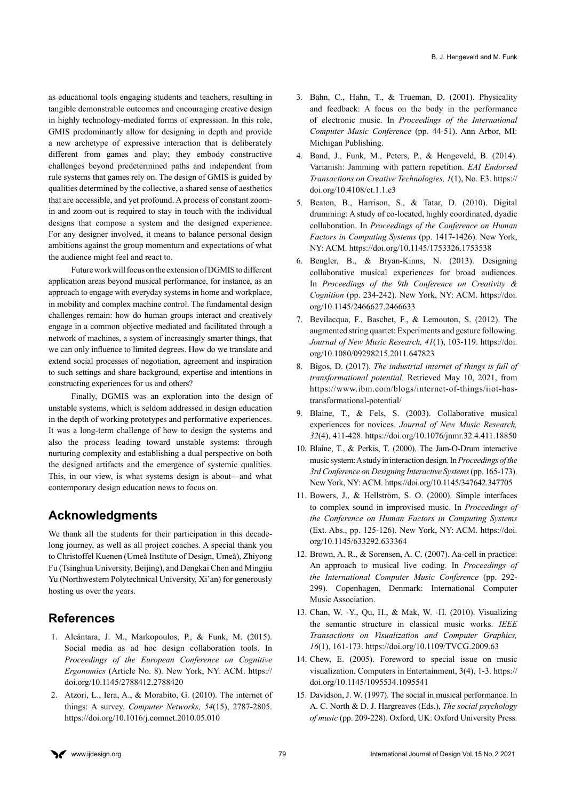as educational tools engaging students and teachers, resulting in tangible demonstrable outcomes and encouraging creative design in highly technology-mediated forms of expression. In this role, GMIS predominantly allow for designing in depth and provide a new archetype of expressive interaction that is deliberately different from games and play; they embody constructive challenges beyond predetermined paths and independent from rule systems that games rely on. The design of GMIS is guided by qualities determined by the collective, a shared sense of aesthetics that are accessible, and yet profound. A process of constant zoomin and zoom-out is required to stay in touch with the individual designs that compose a system and the designed experience. For any designer involved, it means to balance personal design ambitions against the group momentum and expectations of what the audience might feel and react to.

Future work will focus on the extension of DGMIS to different application areas beyond musical performance, for instance, as an approach to engage with everyday systems in home and workplace, in mobility and complex machine control. The fundamental design challenges remain: how do human groups interact and creatively engage in a common objective mediated and facilitated through a network of machines, a system of increasingly smarter things, that we can only influence to limited degrees. How do we translate and extend social processes of negotiation, agreement and inspiration to such settings and share background, expertise and intentions in constructing experiences for us and others?

Finally, DGMIS was an exploration into the design of unstable systems, which is seldom addressed in design education in the depth of working prototypes and performative experiences. It was a long-term challenge of how to design the systems and also the process leading toward unstable systems: through nurturing complexity and establishing a dual perspective on both the designed artifacts and the emergence of systemic qualities. This, in our view, is what systems design is about—and what contemporary design education news to focus on.

# **Acknowledgments**

We thank all the students for their participation in this decadelong journey, as well as all project coaches. A special thank you to Christoffel Kuenen (Umeå Institute of Design, Umeå), Zhiyong Fu (Tsinghua University, Beijing), and Dengkai Chen and Mingjiu Yu (Northwestern Polytechnical University, Xi'an) for generously hosting us over the years.

# **References**

- 1. Alcántara, J. M., Markopoulos, P., & Funk, M. (2015). Social media as ad hoc design collaboration tools. In *Proceedings of the European Conference on Cognitive Ergonomics* (Article No. 8). New York, NY: ACM. [https://](https://doi.org/10.1145/2788412.2788420) [doi.org/10.1145/2788412.2788420](https://doi.org/10.1145/2788412.2788420)
- 2. Atzori, L., Iera, A., & Morabito, G. (2010). The internet of things: A survey. *Computer Networks, 54*(15), 2787-2805. <https://doi.org/10.1016/j.comnet.2010.05.010>
- 3. Bahn, C., Hahn, T., & Trueman, D. (2001). Physicality and feedback: A focus on the body in the performance of electronic music. In *Proceedings of the International Computer Music Conference* (pp. 44-51). Ann Arbor, MI: Michigan Publishing.
- 4. Band, J., Funk, M., Peters, P., & Hengeveld, B. (2014). Varianish: Jamming with pattern repetition. *EAI Endorsed Transactions on Creative Technologies, 1*(1), No. E3. [https://](https://doi.org/10.4108/ct.1.1.e3) [doi.org/10.4108/ct.1.1.e3](https://doi.org/10.4108/ct.1.1.e3)
- 5. Beaton, B., Harrison, S., & Tatar, D. (2010). Digital drumming: A study of co-located, highly coordinated, dyadic collaboration. In *Proceedings of the Conference on Human Factors in Computing Systems* (pp. 1417-1426). New York, NY: ACM.<https://doi.org/10.1145/1753326.1753538>
- 6. Bengler, B., & Bryan-Kinns, N. (2013). Designing collaborative musical experiences for broad audiences. In *Proceedings of the 9th Conference on Creativity & Cognition* (pp. 234-242). New York, NY: ACM. [https://doi.](https://doi.org/10.1145/2466627.2466633) [org/10.1145/2466627.2466633](https://doi.org/10.1145/2466627.2466633)
- 7. Bevilacqua, F., Baschet, F., & Lemouton, S. (2012). The augmented string quartet: Experiments and gesture following. *Journal of New Music Research, 41*(1), 103-119. [https://doi.](https://doi.org/10.1080/09298215.2011.647823) [org/10.1080/09298215.2011.647823](https://doi.org/10.1080/09298215.2011.647823)
- 8. Bigos, D. (2017). *The industrial internet of things is full of transformational potential.* Retrieved May 10, 2021, from [https://www.ibm.com/blogs/internet-of-things/iiot-has](https://www.ibm.com/blogs/internet-of-things/iiot-has-transformational-potential/)[transformational-potential/](https://www.ibm.com/blogs/internet-of-things/iiot-has-transformational-potential/)
- 9. Blaine, T., & Fels, S. (2003). Collaborative musical experiences for novices. *Journal of New Music Research, 32*(4), 411-428.<https://doi.org/10.1076/jnmr.32.4.411.18850>
- 10. Blaine, T., & Perkis, T. (2000). The Jam-O-Drum interactive music system: A study in interaction design. In *Proceedings of the 3rd Conference on Designing Interactive Systems* (pp. 165-173). New York, NY: ACM.<https://doi.org/10.1145/347642.347705>
- 11. Bowers, J., & Hellström, S. O. (2000). Simple interfaces to complex sound in improvised music. In *Proceedings of the Conference on Human Factors in Computing Systems*  (Ext. Abs., pp. 125-126). New York, NY: ACM. [https://doi.](https://doi.org/10.1145/633292.633364) [org/10.1145/633292.633364](https://doi.org/10.1145/633292.633364)
- 12. Brown, A. R., & Sorensen, A. C. (2007). Aa-cell in practice: An approach to musical live coding. In *Proceedings of the International Computer Music Conference* (pp. 292- 299). Copenhagen, Denmark: International Computer Music Association.
- 13. Chan, W. -Y., Qu, H., & Mak, W. -H. (2010). Visualizing the semantic structure in classical music works. *IEEE Transactions on Visualization and Computer Graphics, 16*(1), 161-173.<https://doi.org/10.1109/TVCG.2009.63>
- 14. Chew, E. (2005). Foreword to special issue on music visualization. Computers in Entertainment, 3(4), 1-3. https:// doi.org/10.1145/1095534.1095541
- 15. Davidson, J. W. (1997). The social in musical performance. In A. C. North & D. J. Hargreaves (Eds.), *The social psychology of music* (pp. 209-228). Oxford, UK: Oxford University Press.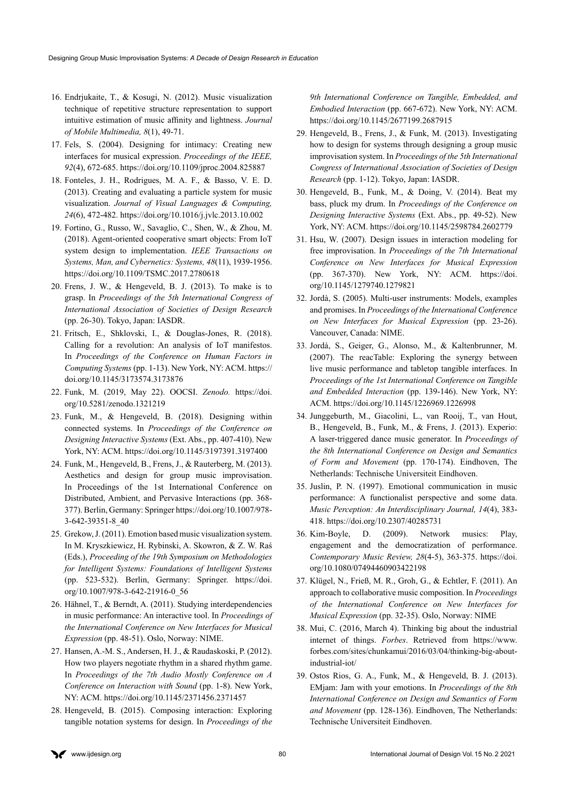- 16. Endrjukaite, T., & Kosugi, N. (2012). Music visualization technique of repetitive structure representation to support intuitive estimation of music affinity and lightness. *Journal of Mobile Multimedia, 8*(1), 49-71.
- 17. Fels, S. (2004). Designing for intimacy: Creating new interfaces for musical expression. *Proceedings of the IEEE, 92*(4), 672-685. <https://doi.org/10.1109/jproc.2004.825887>
- 18. Fonteles, J. H., Rodrigues, M. A. F., & Basso, V. E. D. (2013). Creating and evaluating a particle system for music visualization. *Journal of Visual Languages & Computing, 24*(6), 472-482. <https://doi.org/10.1016/j.jvlc.2013.10.002>
- 19. Fortino, G., Russo, W., Savaglio, C., Shen, W., & Zhou, M. (2018). Agent-oriented cooperative smart objects: From IoT system design to implementation. *IEEE Transactions on Systems, Man, and Cybernetics: Systems, 48*(11), 1939-1956. <https://doi.org/10.1109/TSMC.2017.2780618>
- 20. Frens, J. W., & Hengeveld, B. J. (2013). To make is to grasp. In *Proceedings of the 5th International Congress of International Association of Societies of Design Research*  (pp. 26-30). Tokyo, Japan: IASDR.
- 21. Fritsch, E., Shklovski, I., & Douglas-Jones, R. (2018). Calling for a revolution: An analysis of IoT manifestos. In *Proceedings of the Conference on Human Factors in Computing Systems* (pp. 1-13). New York, NY: ACM. [https://](https://doi.org/10.1145/3173574.3173876) [doi.org/10.1145/3173574.3173876](https://doi.org/10.1145/3173574.3173876)
- 22. Funk, M. (2019, May 22). OOCSI. *Zenodo.* [https://doi.](https://doi.org/10.5281/zenodo.1321219) [org/10.5281/zenodo.1321219](https://doi.org/10.5281/zenodo.1321219)
- 23. Funk, M., & Hengeveld, B. (2018). Designing within connected systems. In *Proceedings of the Conference on Designing Interactive Systems* (Ext. Abs., pp. 407-410). New York, NY: ACM. <https://doi.org/10.1145/3197391.3197400>
- 24. Funk, M., Hengeveld, B., Frens, J., & Rauterberg, M. (2013). Aesthetics and design for group music improvisation. In Proceedings of the 1st International Conference on Distributed, Ambient, and Pervasive Interactions (pp. 368- 377). Berlin, Germany: Springer https://doi.org/10.1007/978- 3-642-39351-8\_40
- 25. Grekow, J. (2011). Emotion based music visualization system. In M. Kryszkiewicz, H. Rybinski, A. Skowron, & Z. W. Raś (Eds.), *Proceeding of the 19th Symposium on Methodologies for Intelligent Systems: Foundations of Intelligent Systems*  (pp. 523-532). Berlin, Germany: Springer. [https://doi.](https://doi.org/10.1007/978-3-642-21916-0_56) [org/10.1007/978-3-642-21916-0\\_56](https://doi.org/10.1007/978-3-642-21916-0_56)
- 26. Hähnel, T., & Berndt, A. (2011). Studying interdependencies in music performance: An interactive tool. In *Proceedings of the International Conference on New Interfaces for Musical Expression* (pp. 48-51). Oslo, Norway: NIME.
- 27. Hansen, A.-M. S., Andersen, H. J., & Raudaskoski, P. (2012). How two players negotiate rhythm in a shared rhythm game. In *Proceedings of the 7th Audio Mostly Conference on A Conference on Interaction with Sound* (pp. 1-8). New York, NY: ACM.<https://doi.org/10.1145/2371456.2371457>
- 28. Hengeveld, B. (2015). Composing interaction: Exploring tangible notation systems for design. In *Proceedings of the*

*9th International Conference on Tangible, Embedded, and Embodied Interaction* (pp. 667-672). New York, NY: ACM. <https://doi.org/10.1145/2677199.2687915>

- 29. Hengeveld, B., Frens, J., & Funk, M. (2013). Investigating how to design for systems through designing a group music improvisation system. In *Proceedings of the 5th International Congress of International Association of Societies of Design Research* (pp. 1-12). Tokyo, Japan: IASDR.
- 30. Hengeveld, B., Funk, M., & Doing, V. (2014). Beat my bass, pluck my drum. In *Proceedings of the Conference on Designing Interactive Systems* (Ext. Abs., pp. 49-52). New York, NY: ACM. <https://doi.org/10.1145/2598784.2602779>
- 31. Hsu, W. (2007). Design issues in interaction modeling for free improvisation. In *Proceedings of the 7th International Conference on New Interfaces for Musical Expression*  (pp. 367-370). New York, NY: ACM. [https://doi.](https://doi.org/10.1145/1279740.1279821) [org/10.1145/1279740.1279821](https://doi.org/10.1145/1279740.1279821)
- 32. Jordà, S. (2005). Multi-user instruments: Models, examples and promises. In *Proceedings of the International Conference on New Interfaces for Musical Expression* (pp. 23-26). Vancouver, Canada: NIME.
- 33. Jordà, S., Geiger, G., Alonso, M., & Kaltenbrunner, M. (2007). The reacTable: Exploring the synergy between live music performance and tabletop tangible interfaces. In *Proceedings of the 1st International Conference on Tangible and Embedded Interaction* (pp. 139-146). New York, NY: ACM. <https://doi.org/10.1145/1226969.1226998>
- 34. Junggeburth, M., Giacolini, L., van Rooij, T., van Hout, B., Hengeveld, B., Funk, M., & Frens, J. (2013). Experio: A laser-triggered dance music generator. In *Proceedings of the 8th International Conference on Design and Semantics of Form and Movement* (pp. 170-174). Eindhoven, The Netherlands: Technische Universiteit Eindhoven.
- 35. Juslin, P. N. (1997). Emotional communication in music performance: A functionalist perspective and some data. *Music Perception: An Interdisciplinary Journal, 14*(4), 383- 418. <https://doi.org/10.2307/40285731>
- 36. Kim-Boyle, D. (2009). Network musics: Play, engagement and the democratization of performance. *Contemporary Music Review, 28*(4-5), 363-375. [https://doi.](https://doi.org/10.1080/07494460903422198) [org/10.1080/07494460903422198](https://doi.org/10.1080/07494460903422198)
- 37. Klügel, N., Frieß, M. R., Groh, G., & Echtler, F. (2011). An approach to collaborative music composition. In *Proceedings of the International Conference on New Interfaces for Musical Expression* (pp. 32-35). Oslo, Norway: NIME
- 38. Mui, C. (2016, March 4). Thinking big about the industrial internet of things. *Forbes*. Retrieved from [https://www.](https://www.forbes.com/sites/chunkamui/2016/03/04/thinking-big-about-industrial-iot/) [forbes.com/sites/chunkamui/2016/03/04/thinking-big-about](https://www.forbes.com/sites/chunkamui/2016/03/04/thinking-big-about-industrial-iot/)[industrial-iot/](https://www.forbes.com/sites/chunkamui/2016/03/04/thinking-big-about-industrial-iot/)
- 39. Ostos Rios, G. A., Funk, M., & Hengeveld, B. J. (2013). EMjam: Jam with your emotions. In *Proceedings of the 8th International Conference on Design and Semantics of Form and Movement* (pp. 128-136). Eindhoven, The Netherlands: Technische Universiteit Eindhoven.